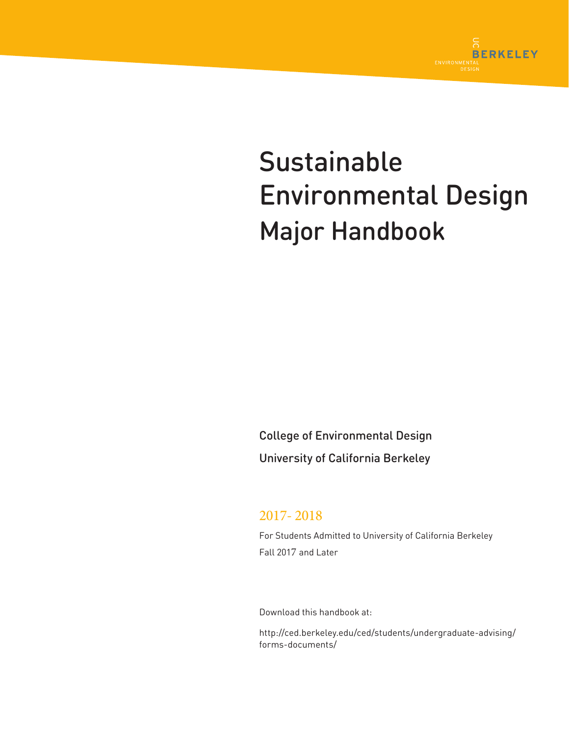

# Sustainable Environmental Design Major Handbook

College of Environmental Design University of California Berkeley

# 2017- 2018

For Students Admitted to University of California Berkeley Fall 2017 and Later

Download this handbook at:

http://ced.berkeley.edu/ced/students/undergraduate-advising/ forms-documents/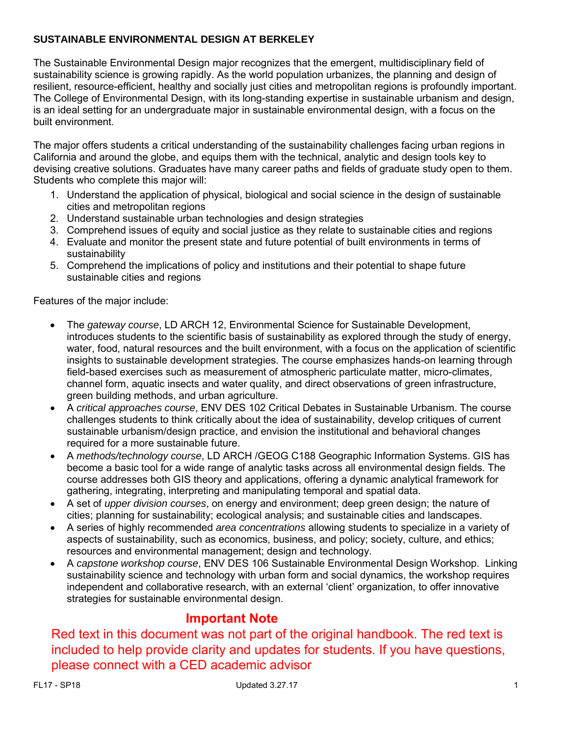## **SUSTAINABLE ENVIRONMENTAL DESIGN AT BERKELEY**

The Sustainable Environmental Design major recognizes that the emergent, multidisciplinary field of sustainability science is growing rapidly. As the world population urbanizes, the planning and design of resilient, resource-efficient, healthy and socially just cities and metropolitan regions is profoundly important. The College of Environmental Design, with its long-standing expertise in sustainable urbanism and design, is an ideal setting for an undergraduate major in sustainable environmental design, with a focus on the built environment.

The major offers students a critical understanding of the sustainability challenges facing urban regions in California and around the globe, and equips them with the technical, analytic and design tools key to devising creative solutions. Graduates have many career paths and fields of graduate study open to them. Students who complete this major will:

- 1. Understand the application of physical, biological and social science in the design of sustainable cities and metropolitan regions
- 2. Understand sustainable urban technologies and design strategies
- 3. Comprehend issues of equity and social justice as they relate to sustainable cities and regions
- 4. Evaluate and monitor the present state and future potential of built environments in terms of sustainability
- 5. Comprehend the implications of policy and institutions and their potential to shape future sustainable cities and regions

Features of the major include:

- The *gateway course*, LD ARCH 12, Environmental Science for Sustainable Development, introduces students to the scientific basis of sustainability as explored through the study of energy, water, food, natural resources and the built environment, with a focus on the application of scientific insights to sustainable development strategies. The course emphasizes hands-on learning through field-based exercises such as measurement of atmospheric particulate matter, micro-climates, channel form, aquatic insects and water quality, and direct observations of green infrastructure, green building methods, and urban agriculture.
- A *critical approaches course*, ENV DES 102 Critical Debates in Sustainable Urbanism. The course challenges students to think critically about the idea of sustainability, develop critiques of current sustainable urbanism/design practice, and envision the institutional and behavioral changes required for a more sustainable future.
- A *methods/technology course*, LD ARCH /GEOG C188 Geographic Information Systems. GIS has become a basic tool for a wide range of analytic tasks across all environmental design fields. The course addresses both GIS theory and applications, offering a dynamic analytical framework for gathering, integrating, interpreting and manipulating temporal and spatial data.
- A set of *upper division courses*, on energy and environment; deep green design; the nature of cities; planning for sustainability; ecological analysis; and sustainable cities and landscapes.
- A series of highly recommended *area concentrations* allowing students to specialize in a variety of aspects of sustainability, such as economics, business, and policy; society, culture, and ethics; resources and environmental management; design and technology.
- A *capstone workshop course*, ENV DES 106 Sustainable Environmental Design Workshop. Linking sustainability science and technology with urban form and social dynamics, the workshop requires independent and collaborative research, with an external 'client' organization, to offer innovative strategies for sustainable environmental design.

# **Important Note**

Red text in this document was not part of the original handbook. The red text is included to help provide clarity and updates for students. If you have questions, please connect with a CED academic advisor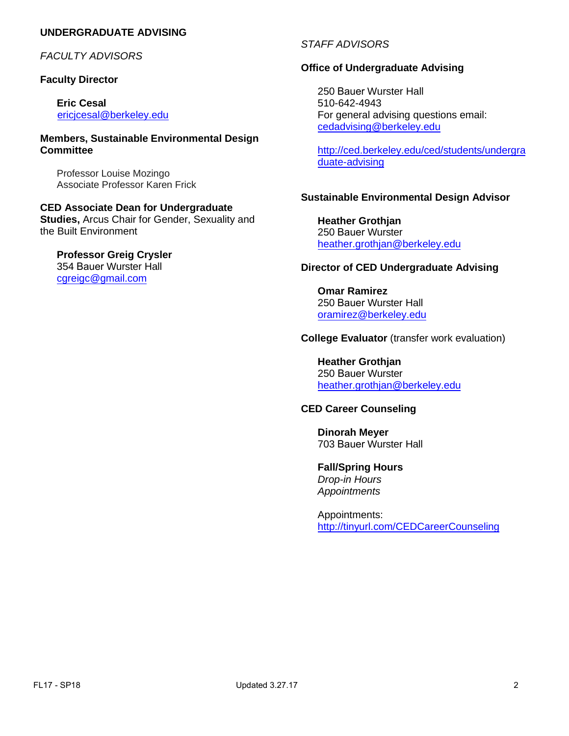## **UNDERGRADUATE ADVISING**

*FACULTY ADVISORS*

#### **Faculty Director**

**Eric Cesal** ericjcesal@berkeley.edu

**Members, Sustainable Environmental Design Committee**

Professor Louise Mozingo [Associate Professor Ka](mailto:kondolf@berkeley.edu)ren Frick

**CED Associate Dean for Undergraduate Studies,** Arcus Chair for Gender, Sexuality and the Built Environment

# **Professor Greig Crysler**

354 Bauer [Wurster Hal](mailto:jcorburn@berkeley.edu)l cgreigc@gmail.com

#### *STAFF ADVISORS*

#### **Office of Undergraduate Advising**

250 Bauer Wurster Hall 510-642-4943 For general advising questions email: cedadvising@berkeley.edu

[http://ced.berkeley.edu/ced/students/undergra](http://ced.berkeley.edu/ced/students/undergraduate-advising) [duate-advisin](http://ced.berkeley.edu/ced/students/undergraduate-advising)g

## **Sustainable Environmental Design Advisor**

**Heather Grothjan**  250 Bauer Wurster heather.grothjan@berkeley.edu

#### **[Director of CED Undergr](mailto:nantrinh@berkeley.edu)aduate Advising**

**Omar Ramirez**  250 Bauer Wurster Hall oramirez@berkeley.edu

#### **College Evaluator** (transfer work evaluation)

**[Heather Grothjan](mailto:hagstrom@berkeley.edu)**  250 Bauer Wurster heather.grothjan@berkeley.edu

#### **CED Career Counseling**

**Dinorah Meyer**  703 Bauer [Wurster Ha](mailto:nantrinh@berkeley.edu)ll

**Fall/Spring Hours** *Drop-in Hours Appointments*

Appointments: [http://tinyurl.com/CEDCareerCounseling](http://ced.berkeley.edu/ced/students/counseling-psychological-services)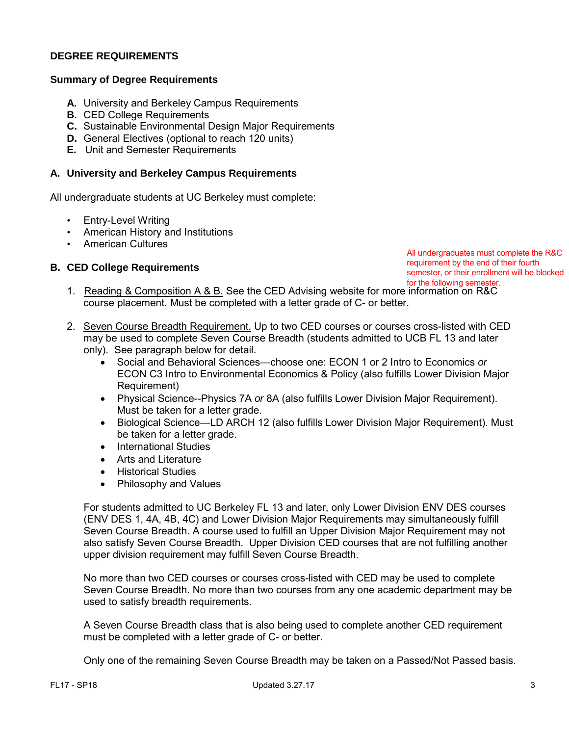#### **DEGREE REQUIREMENTS**

#### **Summary of Degree Requirements**

- **A.** University and Berkeley Campus Requirements
- **B.** CED College Requirements
- **C.** Sustainable Environmental Design Major Requirements
- **D.** General Electives (optional to reach 120 units)
- **E.** Unit and Semester Requirements

#### **A. University and Berkeley Campus Requirements**

All undergraduate students at UC Berkeley must complete:

- Entry-Level Writing
- American History and Institutions
- American Cultures

#### **B. CED College Requirements**

All undergraduates must complete the R&C requirement by the end of their fourth semester, or their enrollment will be blocked for the following semester.

- 1. Reading & Composition A & B. See the CED Advising website for more information on R&C course placement. Must be completed with a letter grade of C- or better.
- 2. Seven Course Breadth Requirement. Up to two CED courses or courses cross-listed with CED may be used to complete Seven Course Breadth (students admitted to UCB FL 13 and later only). See paragraph below for detail.
	- Social and Behavioral Sciences—choose one: ECON 1 or 2 Intro to Economics *or* ECON C3 Intro to Environmental Economics & Policy (also fulfills Lower Division Major Requirement)
	- Physical Science--Physics 7A *or* 8A (also fulfills Lower Division Major Requirement). Must be taken for a letter grade.
	- Biological Science—LD ARCH 12 (also fulfills Lower Division Major Requirement). Must be taken for a letter grade.
	- International Studies
	- Arts and Literature
	- Historical Studies
	- Philosophy and Values

For students admitted to UC Berkeley FL 13 and later, only Lower Division ENV DES courses (ENV DES 1, 4A, 4B, 4C) and Lower Division Major Requirements may simultaneously fulfill Seven Course Breadth. A course used to fulfill an Upper Division Major Requirement may not also satisfy Seven Course Breadth. Upper Division CED courses that are not fulfilling another upper division requirement may fulfill Seven Course Breadth.

No more than two CED courses or courses cross-listed with CED may be used to complete Seven Course Breadth. No more than two courses from any one academic department may be used to satisfy breadth requirements.

A Seven Course Breadth class that is also being used to complete another CED requirement must be completed with a letter grade of C- or better.

Only one of the remaining Seven Course Breadth may be taken on a Passed/Not Passed basis.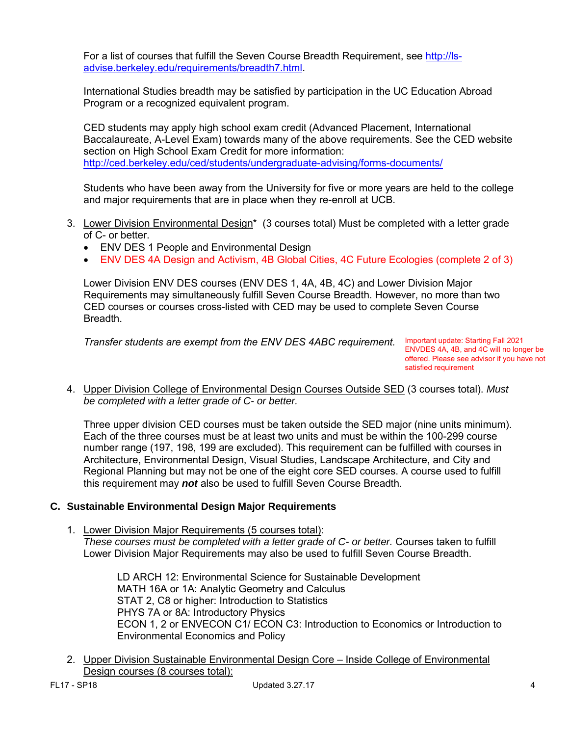For a list of courses that fulfill the Seven Course Breadth Requirement, see [http://ls](http://ls-advise.berkeley.edu/requirements/breadth7.html)[advise.berkeley.edu/requirements/breadth7.html.](http://ls-advise.berkeley.edu/requirements/breadth7.html)

International Studies breadth may be satisfied by participation in the UC Education Abroad Program or a recognized equivalent program.

CED students may apply high school exam credit (Advanced Placement, International Baccalaureate, A-Level Exam) towards many of the above requirements. See the CED website section on High School Exam Credit for more information: <http://ced.berkeley.edu/ced/students/undergraduate-advising/forms-documents/>

Students who have been away from the University for five or more years are held to the college and major requirements that are in place when they re-enroll at UCB.

- 3. Lower Division Environmental Design\* (3 courses total) Must be completed with a letter grade of C- or better.
	- ENV DES 1 People and Environmental Design
	- ENV DES 4A Design and Activism, 4B Global Cities, 4C Future Ecologies (complete 2 of 3)

Lower Division ENV DES courses (ENV DES 1, 4A, 4B, 4C) and Lower Division Major Requirements may simultaneously fulfill Seven Course Breadth. However, no more than two CED courses or courses cross-listed with CED may be used to complete Seven Course Breadth.

*Transfer students are exempt from the ENV DES 4ABC requirement.* Important update: Starting Fall 2021

ENVDES 4A, 4B, and 4C will no longer be offered. Please see advisor if you have not satisfied requirement

4. Upper Division College of Environmental Design Courses Outside SED (3 courses total). *Must be completed with a letter grade of C- or better.*

Three upper division CED courses must be taken outside the SED major (nine units minimum). Each of the three courses must be at least two units and must be within the 100-299 course number range (197, 198, 199 are excluded). This requirement can be fulfilled with courses in Architecture, Environmental Design, Visual Studies, Landscape Architecture, and City and Regional Planning but may not be one of the eight core SED courses. A course used to fulfill this requirement may *not* also be used to fulfill Seven Course Breadth.

#### **C. Sustainable Environmental Design Major Requirements**

1. Lower Division Major Requirements (5 courses total): *These courses must be completed with a letter grade of C- or better.* Courses taken to fulfill Lower Division Major Requirements may also be used to fulfill Seven Course Breadth.

> LD ARCH 12: Environmental Science for Sustainable Development MATH 16A or 1A: Analytic Geometry and Calculus STAT 2, C8 or higher: Introduction to Statistics PHYS 7A or 8A: Introductory Physics ECON 1, 2 or ENVECON C1/ ECON C3: Introduction to Economics or Introduction to Environmental Economics and Policy

2. Upper Division Sustainable Environmental Design Core – Inside College of Environmental Design courses (8 courses total):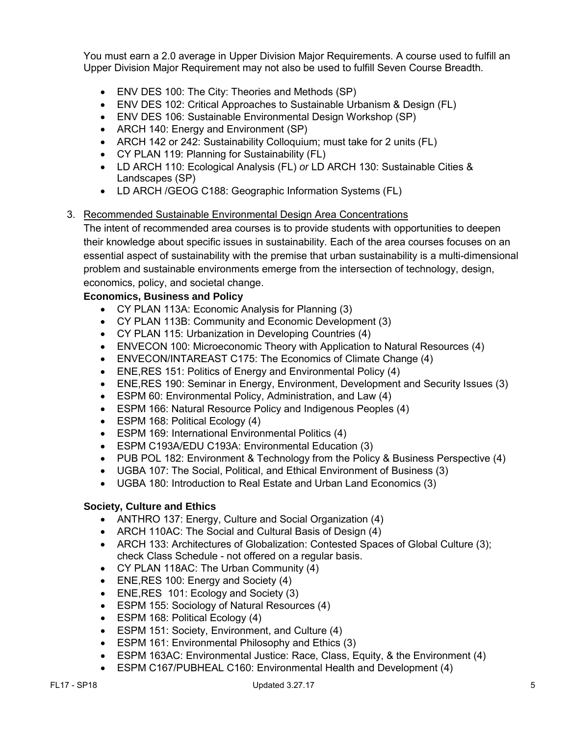You must earn a 2.0 average in Upper Division Major Requirements. A course used to fulfill an Upper Division Major Requirement may not also be used to fulfill Seven Course Breadth.

- ENV DES 100: The City: Theories and Methods (SP)
- ENV DES 102: Critical Approaches to Sustainable Urbanism & Design (FL)
- ENV DES 106: Sustainable Environmental Design Workshop (SP)
- ARCH 140: Energy and Environment (SP)
- ARCH 142 or 242: Sustainability Colloquium; must take for 2 units (FL)
- CY PLAN 119: Planning for Sustainability (FL)
- LD ARCH 110: Ecological Analysis (FL) *or* LD ARCH 130: Sustainable Cities & Landscapes (SP)
- LD ARCH /GEOG C188: Geographic Information Systems (FL)

## 3. Recommended Sustainable Environmental Design Area Concentrations

The intent of recommended area courses is to provide students with opportunities to deepen their knowledge about specific issues in sustainability. Each of the area courses focuses on an essential aspect of sustainability with the premise that urban sustainability is a multi-dimensional problem and sustainable environments emerge from the intersection of technology, design, economics, policy, and societal change.

## **Economics, Business and Policy**

- CY PLAN 113A: Economic Analysis for Planning (3)
- CY PLAN 113B: Community and Economic Development (3)
- CY PLAN 115: Urbanization in Developing Countries (4)
- ENVECON 100: Microeconomic Theory with Application to Natural Resources (4)
- ENVECON/INTAREAST C175: The Economics of Climate Change (4)
- ENE, RES 151: Politics of Energy and Environmental Policy (4)
- ENE,RES 190: Seminar in Energy, Environment, Development and Security Issues (3)
- ESPM 60: Environmental Policy, Administration, and Law (4)
- ESPM 166: Natural Resource Policy and Indigenous Peoples (4)
- ESPM 168: Political Ecology (4)
- ESPM 169: International Environmental Politics (4)
- ESPM C193A/EDU C193A: Environmental Education (3)
- PUB POL 182: Environment & Technology from the Policy & Business Perspective (4)
- UGBA 107: The Social, Political, and Ethical Environment of Business (3)
- UGBA 180: Introduction to Real Estate and Urban Land Economics (3)

## **Society, Culture and Ethics**

- ANTHRO 137: Energy, Culture and Social Organization (4)
- ARCH 110AC: The Social and Cultural Basis of Design (4)
- ARCH 133: Architectures of Globalization: Contested Spaces of Global Culture (3); check Class Schedule - not offered on a regular basis.
- CY PLAN 118AC: The Urban Community (4)
- ENE, RES 100: Energy and Society (4)
- ENE, RES 101: Ecology and Society (3)
- ESPM 155: Sociology of Natural Resources (4)
- ESPM 168: Political Ecology (4)
- ESPM 151: Society, Environment, and Culture (4)
- ESPM 161: Environmental Philosophy and Ethics (3)
- ESPM 163AC: Environmental Justice: Race, Class, Equity, & the Environment (4)
- ESPM C167/PUBHEAL C160: Environmental Health and Development (4)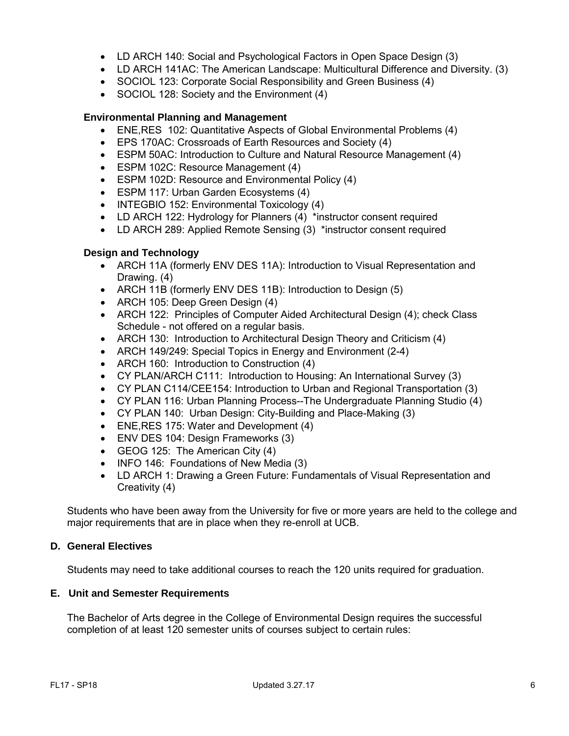- LD ARCH 140: Social and Psychological Factors in Open Space Design (3)
- LD ARCH 141AC: The American Landscape: Multicultural Difference and Diversity. (3)
- SOCIOL 123: Corporate Social Responsibility and Green Business (4)
- SOCIOL 128: Society and the Environment (4)

#### **Environmental Planning and Management**

- ENE,RES 102: Quantitative Aspects of Global Environmental Problems (4)
- EPS 170AC: Crossroads of Earth Resources and Society (4)
- ESPM 50AC: Introduction to Culture and Natural Resource Management (4)
- ESPM 102C: Resource Management (4)
- ESPM 102D: Resource and Environmental Policy (4)
- ESPM 117: Urban Garden Ecosystems (4)
- INTEGBIO 152: Environmental Toxicology (4)
- LD ARCH 122: Hydrology for Planners (4) \*instructor consent required
- LD ARCH 289: Applied Remote Sensing (3) \*instructor consent required

#### **Design and Technology**

- ARCH 11A (formerly ENV DES 11A): Introduction to Visual Representation and Drawing. (4)
- ARCH 11B (formerly ENV DES 11B): Introduction to Design (5)
- ARCH 105: Deep Green Design (4)
- ARCH 122: Principles of Computer Aided Architectural Design (4); check Class Schedule - not offered on a regular basis.
- ARCH 130: Introduction to Architectural Design Theory and Criticism (4)
- ARCH 149/249: Special Topics in Energy and Environment (2-4)
- ARCH 160: Introduction to Construction (4)
- CY PLAN/ARCH C111: Introduction to Housing: An International Survey (3)
- CY PLAN C114/CEE154: Introduction to Urban and Regional Transportation (3)
- CY PLAN 116: Urban Planning Process--The Undergraduate Planning Studio (4)
- CY PLAN 140: Urban Design: City-Building and Place-Making (3)
- ENE,RES 175: Water and Development (4)
- ENV DES 104: Design Frameworks (3)
- GEOG 125: The American City (4)
- INFO 146: Foundations of New Media (3)
- LD ARCH 1: Drawing a Green Future: Fundamentals of Visual Representation and Creativity (4)

Students who have been away from the University for five or more years are held to the college and major requirements that are in place when they re-enroll at UCB.

#### **D. General Electives**

Students may need to take additional courses to reach the 120 units required for graduation.

#### **E. Unit and Semester Requirements**

The Bachelor of Arts degree in the College of Environmental Design requires the successful completion of at least 120 semester units of courses subject to certain rules: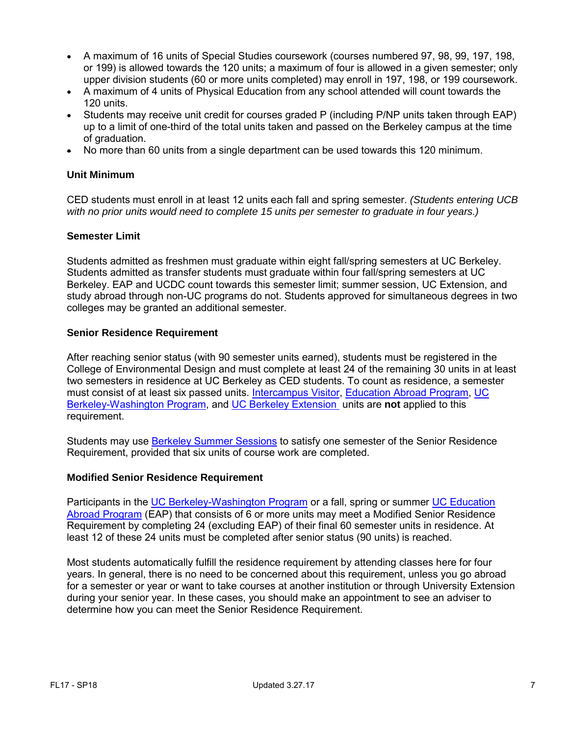- A maximum of 16 units of Special Studies coursework (courses numbered 97, 98, 99, 197, 198, or 199) is allowed towards the 120 units; a maximum of four is allowed in a given semester; only upper division students (60 or more units completed) may enroll in 197, 198, or 199 coursework.
- A maximum of 4 units of Physical Education from any school attended will count towards the 120 units.
- Students may receive unit credit for courses graded P (including P/NP units taken through EAP) up to a limit of one-third of the total units taken and passed on the Berkeley campus at the time of graduation.
- No more than 60 units from a single department can be used towards this 120 minimum.

#### **Unit Minimum**

CED students must enroll in at least 12 units each fall and spring semester. *(Students entering UCB with no prior units would need to complete 15 units per semester to graduate in four years.)*

#### **Semester Limit**

Students admitted as freshmen must graduate within eight fall/spring semesters at UC Berkeley. Students admitted as transfer students must graduate within four fall/spring semesters at UC Berkeley. EAP and UCDC count towards this semester limit; summer session, UC Extension, and study abroad through non-UC programs do not. Students approved for simultaneous degrees in two colleges may be granted an additional semester.

#### **Senior Residence Requirement**

After reaching senior status (with 90 semester units earned), students must be registered in the College of Environmental Design and must complete at least 24 of the remaining 30 units in at least two semesters in residence at UC Berkeley as CED students. To count as residence, a semester must consist of at least six passed units. [Intercampus Visitor,](http://ls-advise.berkeley.edu/faq/icv.html) [Education Abroad Program,](http://ls-advise.berkeley.edu/faq/eap.html) UC [Berkeley-Washington Program,](http://ucdc.berkeley.edu/) and [UC Berkeley Extension](http://extension.berkeley.edu/) units are **not** applied to this requirement.

Students may use [Berkeley Summer Sessions](http://summer.berkeley.edu/mainsite/index.lasso) to satisfy one semester of the Senior Residence Requirement, provided that six units of course work are completed.

#### **Modified Senior Residence Requirement**

Participants in the [UC Berkeley-Washington Program](http://learning.berkeley.edu/ucdc/) or a fall, spring or summer [UC Education](http://ls-advise.berkeley.edu/faq/eap.html)  [Abroad Program](http://ls-advise.berkeley.edu/faq/eap.html) (EAP) that consists of 6 or more units may meet a Modified Senior Residence Requirement by completing 24 (excluding EAP) of their final 60 semester units in residence. At least 12 of these 24 units must be completed after senior status (90 units) is reached.

Most students automatically fulfill the residence requirement by attending classes here for four years. In general, there is no need to be concerned about this requirement, unless you go abroad for a semester or year or want to take courses at another institution or through University Extension during your senior year. In these cases, you should make an appointment to see an adviser to determine how you can meet the Senior Residence Requirement.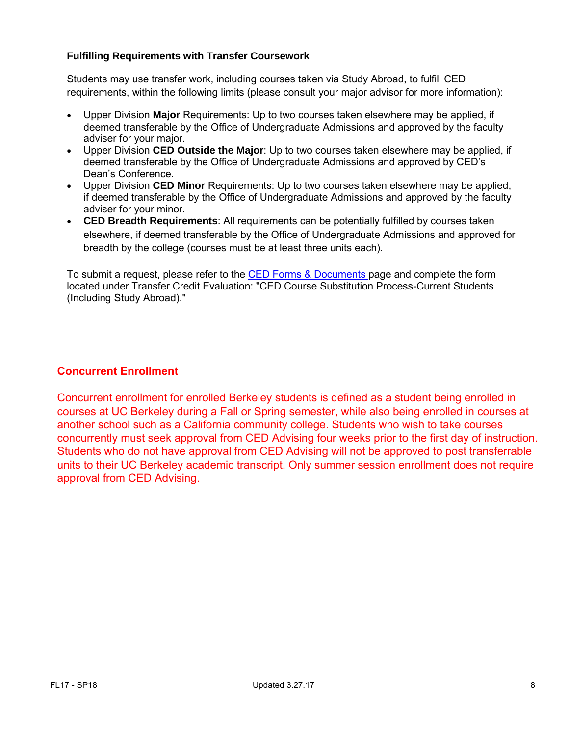## **Fulfilling Requirements with Transfer Coursework**

Students may use transfer work, including courses taken via Study Abroad, to fulfill CED requirements, within the following limits (please consult your major advisor for more information):

- Upper Division **Major** Requirements: Up to two courses taken elsewhere may be applied, if deemed transferable by the Office of Undergraduate Admissions and approved by the faculty adviser for your major.
- Upper Division **CED Outside the Major**: Up to two courses taken elsewhere may be applied, if deemed transferable by the Office of Undergraduate Admissions and approved by CED's Dean's Conference.
- Upper Division **CED Minor** Requirements: Up to two courses taken elsewhere may be applied, if deemed transferable by the Office of Undergraduate Admissions and approved by the faculty adviser for your minor.
- **CED Breadth Requirements**: All requirements can be potentially fulfilled by courses taken elsewhere, if deemed transferable by the Office of Undergraduate Admissions and approved for breadth by the college (courses must be at least three units each).

To submit a request, please refer to the [CED Forms & Documents](http://ced.berkeley.edu/ced/students/undergraduate-advising/forms-documents/) page and complete the form located under Transfer Credit Evaluation: "CED Course Substitution Process-Current Students (Including Study Abroad)."

## **Concurrent Enrollment**

Concurrent enrollment for enrolled Berkeley students is defined as a student being enrolled in courses at UC Berkeley during a Fall or Spring semester, while also being enrolled in courses at another school such as a California community college. Students who wish to take courses concurrently must seek approval from CED Advising four weeks prior to the first day of instruction. Students who do not have approval from CED Advising will not be approved to post transferrable units to their UC Berkeley academic transcript. Only summer session enrollment does not require approval from CED Advising.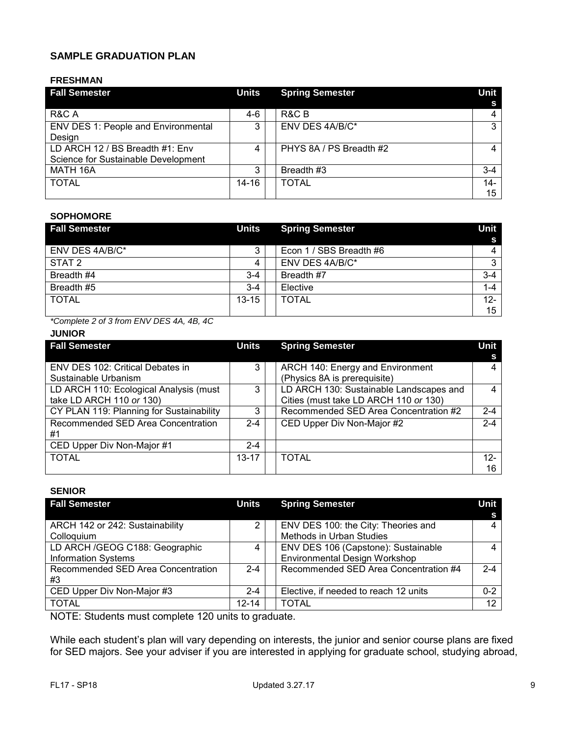## **SAMPLE GRADUATION PLAN**

#### **FRESHMAN**

| <b>Fall Semester</b>                                                   | <b>Units</b> | <b>Spring Semester</b>  | Unit        |
|------------------------------------------------------------------------|--------------|-------------------------|-------------|
| R&C A                                                                  | 4-6          | R&C B                   |             |
| <b>ENV DES 1: People and Environmental</b><br>Design                   | 3            | ENV DES 4A/B/C*         | 3           |
| LD ARCH 12 / BS Breadth #1: Env<br>Science for Sustainable Development | 4            | PHYS 8A / PS Breadth #2 |             |
| MATH 16A                                                               | 3            | Breadth #3              | $3 - 4$     |
| <b>TOTAL</b>                                                           | 14-16        | <b>TOTAL</b>            | $14-$<br>15 |

#### **SOPHOMORE**

| <b>Fall Semester</b> | <b>Units</b> | <b>Spring Semester</b>  | Unit    |
|----------------------|--------------|-------------------------|---------|
|                      |              |                         | S       |
| ENV DES 4A/B/C*      | 3            | Econ 1 / SBS Breadth #6 | 4       |
| STAT <sub>2</sub>    | 4            | ENV DES 4A/B/C*         | 3       |
| Breadth #4           | $3 - 4$      | Breadth #7              | $3 - 4$ |
| Breadth #5           | $3 - 4$      | Elective                | $1 - 4$ |
| <b>TOTAL</b>         | $13 - 15$    | <b>TOTAL</b>            | $12 -$  |
|                      |              |                         | 15      |

*\*Complete 2 of 3 from ENV DES 4A, 4B, 4C*

## **JUNIOR**

| <b>Fall Semester</b>                     | Units     | <b>Spring Semester</b>                  | Unit    |
|------------------------------------------|-----------|-----------------------------------------|---------|
|                                          |           |                                         |         |
| ENV DES 102: Critical Debates in         | 3         | ARCH 140: Energy and Environment        |         |
| Sustainable Urbanism                     |           | (Physics 8A is prerequisite)            |         |
| LD ARCH 110: Ecological Analysis (must   | 3         | LD ARCH 130: Sustainable Landscapes and | Δ       |
| take LD ARCH 110 or 130)                 |           | Cities (must take LD ARCH 110 or 130)   |         |
| CY PLAN 119: Planning for Sustainability | 3         | Recommended SED Area Concentration #2   | $2 - 4$ |
| Recommended SED Area Concentration       | $2 - 4$   | CED Upper Div Non-Major #2              | $2 - 4$ |
| #1                                       |           |                                         |         |
| CED Upper Div Non-Major #1               | $2 - 4$   |                                         |         |
| <b>TOTAL</b>                             | $13 - 17$ | <b>TOTAL</b>                            | $12-$   |
|                                          |           |                                         | 16      |

#### **SENIOR**

| <b>Fall Semester</b>                                         | Units     | <b>Spring Semester</b>                                               | Unit<br>s |
|--------------------------------------------------------------|-----------|----------------------------------------------------------------------|-----------|
| ARCH 142 or 242: Sustainability<br>Colloquium                |           | ENV DES 100: the City: Theories and<br>Methods in Urban Studies      | 4         |
| LD ARCH /GEOG C188: Geographic<br><b>Information Systems</b> | 4         | ENV DES 106 (Capstone): Sustainable<br>Environmental Design Workshop | 4         |
| Recommended SED Area Concentration<br>#3                     | $2 - 4$   | Recommended SED Area Concentration #4                                | $2 - 4$   |
| CED Upper Div Non-Major #3                                   | $2 - 4$   | Elective, if needed to reach 12 units                                | $0 - 2$   |
| <b>TOTAL</b>                                                 | $12 - 14$ | <b>TOTAL</b>                                                         | 12        |

NOTE: Students must complete 120 units to graduate.

While each student's plan will vary depending on interests, the junior and senior course plans are fixed for SED majors. See your adviser if you are interested in applying for graduate school, studying abroad,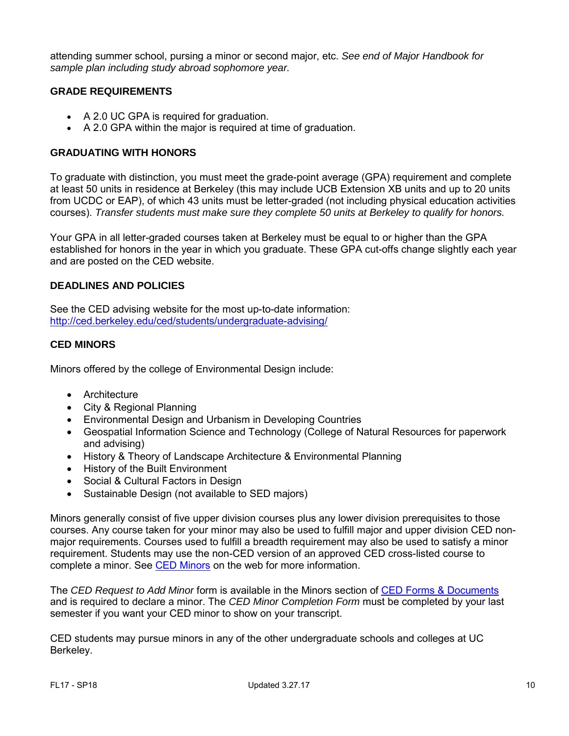attending summer school, pursing a minor or second major, etc. *See end of Major Handbook for sample plan including study abroad sophomore year.*

#### **GRADE REQUIREMENTS**

- A 2.0 UC GPA is required for graduation.
- A 2.0 GPA within the major is required at time of graduation.

#### **GRADUATING WITH HONORS**

To graduate with distinction, you must meet the grade-point average (GPA) requirement and complete at least 50 units in residence at Berkeley (this may include UCB Extension XB units and up to 20 units from UCDC or EAP), of which 43 units must be letter-graded (not including physical education activities courses). *Transfer students must make sure they complete 50 units at Berkeley to qualify for honors.*

Your GPA in all letter-graded courses taken at Berkeley must be equal to or higher than the GPA established for honors in the year in which you graduate. These GPA cut-offs change slightly each year and are posted on the CED website.

#### **DEADLINES AND POLICIES**

See the CED advising website for the most up-to-date information: <http://ced.berkeley.edu/ced/students/undergraduate-advising/>

#### **CED MINORS**

Minors offered by the college of Environmental Design include:

- [Architecture](http://arch.ced.berkeley.edu/programs/undergraduate/minors/arch)
- [City & Regional Planning](http://dcrp.ced.berkeley.edu/programs/undergraduate/minor_cityplanning)
- [Environmental Design and Urbanism in Developing Countries](http://arch.ced.berkeley.edu/programs/undergraduate/minors/envdesigndevcountries)
- [Geospatial Information Science and Technology](http://gis.berkeley.edu/students/minor) (College of Natural Resources for paperwork and advising)
- [History & Theory of Landscape Architecture & Environmental Planning](http://laep.ced.berkeley.edu/programs/undergraduate/minors/historytheorylaep)
- [History of the Built Environment](http://arch.ced.berkeley.edu/programs/undergraduate/minors/historybuiltenv)
- [Social & Cultural Factors in Design](http://arch.ced.berkeley.edu/programs/undergraduate/minors/socialcultfactors)
- [Sustainable Design](http://laep.ced.berkeley.edu/programs/undergraduate/minors/sustainabledesign) (not available to SED majors)

Minors generally consist of five upper division courses plus any lower division prerequisites to those courses. Any course taken for your minor may also be used to fulfill major and upper division CED nonmajor requirements. Courses used to fulfill a breadth requirement may also be used to satisfy a minor requirement. Students may use the non-CED version of an approved CED cross-listed course to complete a minor. See [CED Minors](http://www.ced.berkeley.edu/advising/continuingstudents/degreereqs#minor) on the web for more information.

The *CED Request to Add Minor* form is available in the Minors section of CED [Forms & Documents](http://ced.berkeley.edu/ced/students/undergraduate-advising/forms-documents/) and is required to declare a minor. The *CED Minor Completion Form* must be completed by your last semester if you want your CED minor to show on your transcript.

CED students may pursue minors in any of the other undergraduate schools and colleges at UC Berkeley.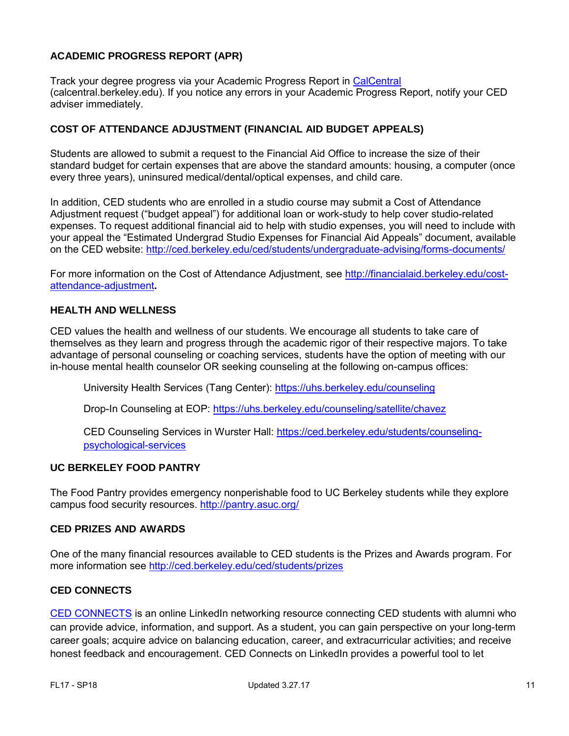## **ACADEMIC PROGRESS REPORT (APR)**

Track your degree progress via your Academic Progress Report in CalCentral (calcentral.berkeley.edu). If you notice any errors in your Academic Progress Report, notify your CED adviser immediately.

#### **COST OF ATTENDANCE ADJUSTMENT (FINANCIAL AID BUDGET APPEALS)**

Students are allowed to submit a request to the Financial Aid Office to increase the size of their standard budget for certain expenses that are above the standard amounts: housing, a computer (once every three years), uninsured medical/dental/optical expenses, and child care.

In addition, CED students who are enrolled in a studio course may submit a Cost of Attendance Adjustment request ("budget appeal") for additional loan or work-study to help cover studio-related expenses. To request additional financial aid to help with studio expenses, you will need to include with your appeal the "Estimated Undergrad Studio Expenses for Financial Aid Appeals" document, available on the CED website:<http://ced.berkeley.edu/ced/students/undergraduate-advising/forms-documents/>

For more information on the Cost of Attendance Adjustment, see [http://financialaid.berkeley.edu/cost](http://financialaid.berkeley.edu/cost-attendance-adjustment)[attendance-adjustment](http://financialaid.berkeley.edu/cost-attendance-adjustment)**.** 

#### **HEALTH AND WELLNESS**

CED values the health and wellness of our students. We encourage all students to take care of themselves as they learn and progress through the academic rigor of their respective majors. To take advantage of personal counseling or coaching services, students have the option of meeting with our in-house mental health counselor OR seeking counseling at the following on-campus offices:

University Health Services (Tang Center):<https://uhs.berkeley.edu/counseling>

Drop-In Counseling at EOP:<https://uhs.berkeley.edu/counseling/satellite/chavez>

CED Counseling Services in Wurster Hall: [https://ced.berkeley.edu/students/counseling](https://ced.berkeley.edu/students/counseling-psychological-services)[psychological-services](https://ced.berkeley.edu/students/counseling-psychological-services) 

#### **UC BERKELEY FOOD PANTRY**

The Food Pantry provides emergency nonperishable food to UC Berkeley students while they explore campus food security resources.<http://pantry.asuc.org/>

## **CED PRIZES AND AWARDS**

One of the many financial resources available to CED students is the Prizes and Awards program. For more information see <http://ced.berkeley.edu/ced/students/prizes>

#### **CED CONNECTS**

[CED CONNECTS](http://ced.berkeley.edu/students/ced-connects/) is an online LinkedIn networking resource connecting CED students with alumni who can provide advice, information, and support. As a student, you can gain perspective on your long-term career goals; acquire advice on balancing education, career, and extracurricular activities; and receive honest feedback and encouragement. CED Connects on LinkedIn provides a powerful tool to let